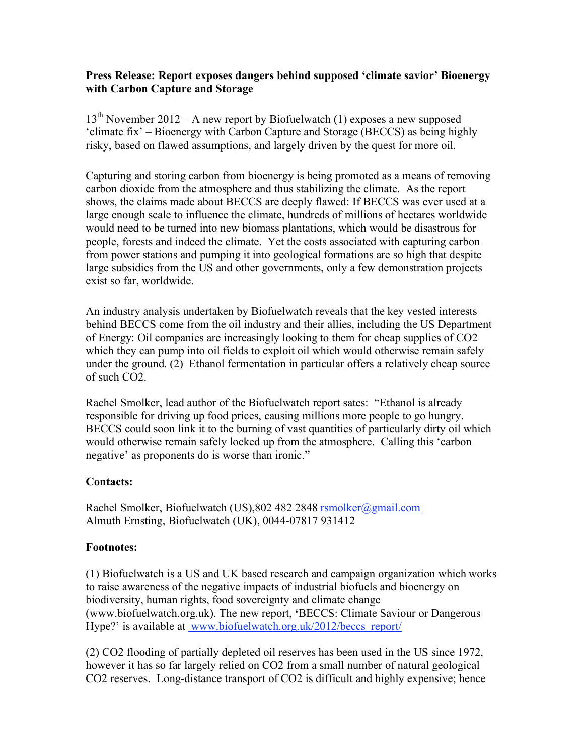## **Press Release: Report exposes dangers behind supposed 'climate savior' Bioenergy with Carbon Capture and Storage**

 $13<sup>th</sup>$  November 2012 – A new report by Biofuelwatch (1) exposes a new supposed 'climate fix' – Bioenergy with Carbon Capture and Storage (BECCS) as being highly risky, based on flawed assumptions, and largely driven by the quest for more oil.

Capturing and storing carbon from bioenergy is being promoted as a means of removing carbon dioxide from the atmosphere and thus stabilizing the climate. As the report shows, the claims made about BECCS are deeply flawed: If BECCS was ever used at a large enough scale to influence the climate, hundreds of millions of hectares worldwide would need to be turned into new biomass plantations, which would be disastrous for people, forests and indeed the climate. Yet the costs associated with capturing carbon from power stations and pumping it into geological formations are so high that despite large subsidies from the US and other governments, only a few demonstration projects exist so far, worldwide.

An industry analysis undertaken by Biofuelwatch reveals that the key vested interests behind BECCS come from the oil industry and their allies, including the US Department of Energy: Oil companies are increasingly looking to them for cheap supplies of CO2 which they can pump into oil fields to exploit oil which would otherwise remain safely under the ground. (2) Ethanol fermentation in particular offers a relatively cheap source of such CO2.

Rachel Smolker, lead author of the Biofuelwatch report sates: "Ethanol is already responsible for driving up food prices, causing millions more people to go hungry. BECCS could soon link it to the burning of vast quantities of particularly dirty oil which would otherwise remain safely locked up from the atmosphere. Calling this 'carbon negative' as proponents do is worse than ironic."

## **Contacts:**

Rachel Smolker, Biofuelwatch (US), 802 482 2848 rsmolker@gmail.com Almuth Ernsting, Biofuelwatch (UK), 0044-07817 931412

## **Footnotes:**

(1) Biofuelwatch is a US and UK based research and campaign organization which works to raise awareness of the negative impacts of industrial biofuels and bioenergy on biodiversity, human rights, food sovereignty and climate change (www.biofuelwatch.org.uk). The new report, **'**BECCS: Climate Saviour or Dangerous Hype?' is available at www.biofuelwatch.org.uk/2012/beccs\_report/

(2) CO2 flooding of partially depleted oil reserves has been used in the US since 1972, however it has so far largely relied on CO2 from a small number of natural geological CO2 reserves. Long-distance transport of CO2 is difficult and highly expensive; hence